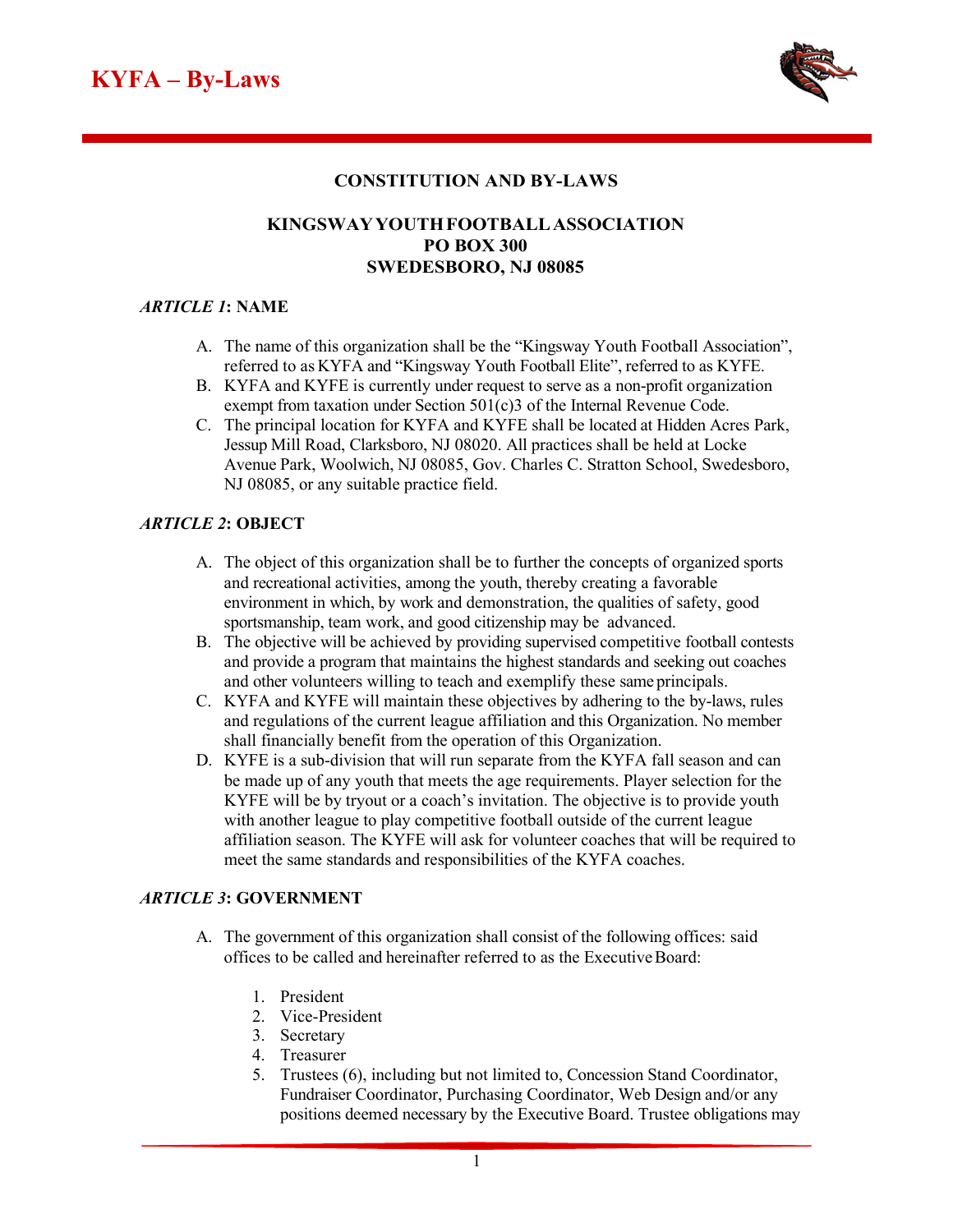

## **CONSTITUTION AND BY-LAWS**

## **KINGSWAYYOUTHFOOTBALLASSOCIATION PO BOX 300 SWEDESBORO, NJ 08085**

#### *ARTICLE 1***: NAME**

- A. The name of this organization shall be the "Kingsway Youth Football Association", referred to as KYFA and "Kingsway Youth Football Elite", referred to as KYFE.
- B. KYFA and KYFE is currently under request to serve as a non-profit organization exempt from taxation under Section 501(c)3 of the Internal Revenue Code.
- C. The principal location for KYFA and KYFE shall be located at Hidden Acres Park, Jessup Mill Road, Clarksboro, NJ 08020. All practices shall be held at Locke Avenue Park, Woolwich, NJ 08085, Gov. Charles C. Stratton School, Swedesboro, NJ 08085, or any suitable practice field.

#### *ARTICLE 2***: OBJECT**

- A. The object of this organization shall be to further the concepts of organized sports and recreational activities, among the youth, thereby creating a favorable environment in which, by work and demonstration, the qualities of safety, good sportsmanship, team work, and good citizenship may be advanced.
- B. The objective will be achieved by providing supervised competitive football contests and provide a program that maintains the highest standards and seeking out coaches and other volunteers willing to teach and exemplify these same principals.
- C. KYFA and KYFE will maintain these objectives by adhering to the by-laws, rules and regulations of the current league affiliation and this Organization. No member shall financially benefit from the operation of this Organization.
- D. KYFE is a sub-division that will run separate from the KYFA fall season and can be made up of any youth that meets the age requirements. Player selection for the KYFE will be by tryout or a coach's invitation. The objective is to provide youth with another league to play competitive football outside of the current league affiliation season. The KYFE will ask for volunteer coaches that will be required to meet the same standards and responsibilities of the KYFA coaches.

#### *ARTICLE 3***: GOVERNMENT**

- A. The government of this organization shall consist of the following offices: said offices to be called and hereinafter referred to as the ExecutiveBoard:
	- 1. President
	- 2. Vice-President
	- 3. Secretary
	- 4. Treasurer
	- 5. Trustees (6), including but not limited to, Concession Stand Coordinator, Fundraiser Coordinator, Purchasing Coordinator, Web Design and/or any positions deemed necessary by the Executive Board. Trustee obligations may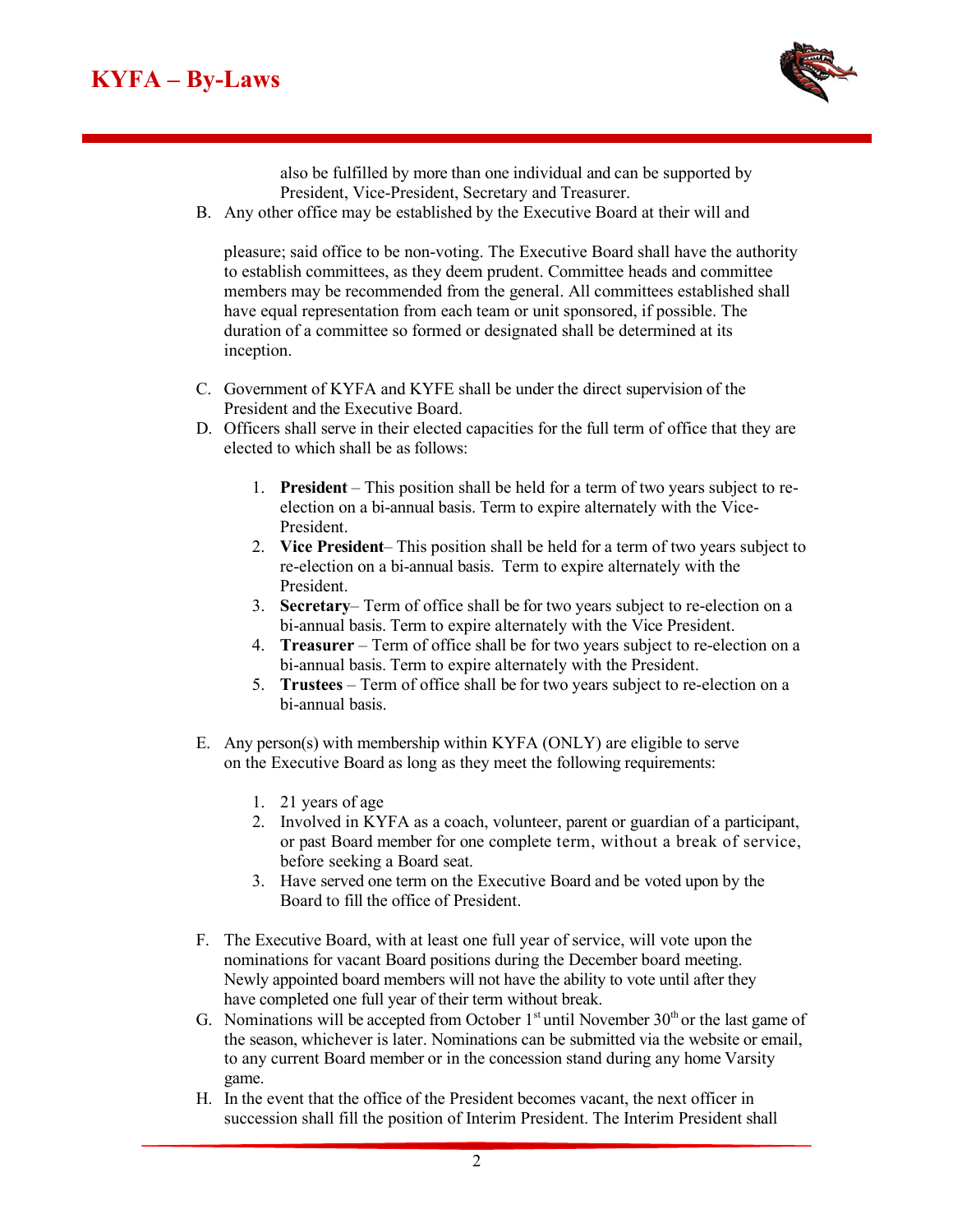

also be fulfilled by more than one individual and can be supported by President, Vice-President, Secretary and Treasurer.

B. Any other office may be established by the Executive Board at their will and

pleasure; said office to be non-voting. The Executive Board shall have the authority to establish committees, as they deem prudent. Committee heads and committee members may be recommended from the general. All committees established shall have equal representation from each team or unit sponsored, if possible. The duration of a committee so formed or designated shall be determined at its inception.

- C. Government of KYFA and KYFE shall be under the direct supervision of the President and the Executive Board.
- D. Officers shall serve in their elected capacities for the full term of office that they are elected to which shall be as follows:
	- 1. **President**  This position shall be held for a term of two years subject to reelection on a bi-annual basis. Term to expire alternately with the Vice-President.
	- 2. **Vice President** This position shall be held for a term of two years subject to re-election on a bi-annual basis. Term to expire alternately with the President.
	- 3. **Secretary** Term of office shall be for two years subject to re-election on a bi-annual basis. Term to expire alternately with the Vice President.
	- 4. **Treasurer**  Term of office shall be for two years subject to re-election on a bi-annual basis. Term to expire alternately with the President.
	- 5. **Trustees**  Term of office shall be for two years subject to re-election on a bi-annual basis.
- E. Any person(s) with membership within KYFA (ONLY) are eligible to serve on the Executive Board as long as they meet the following requirements:
	- 1. 21 years of age
	- 2. Involved in KYFA as a coach, volunteer, parent or guardian of a participant, or past Board member for one complete term, without a break of service, before seeking a Board seat.
	- 3. Have served one term on the Executive Board and be voted upon by the Board to fill the office of President.
- F. The Executive Board, with at least one full year of service, will vote upon the nominations for vacant Board positions during the December board meeting. Newly appointed board members will not have the ability to vote until after they have completed one full year of their term without break.
- G. Nominations will be accepted from October  $1<sup>st</sup>$  until November  $30<sup>th</sup>$  or the last game of the season, whichever is later. Nominations can be submitted via the website or email, to any current Board member or in the concession stand during any home Varsity game.
- H. In the event that the office of the President becomes vacant, the next officer in succession shall fill the position of Interim President. The Interim President shall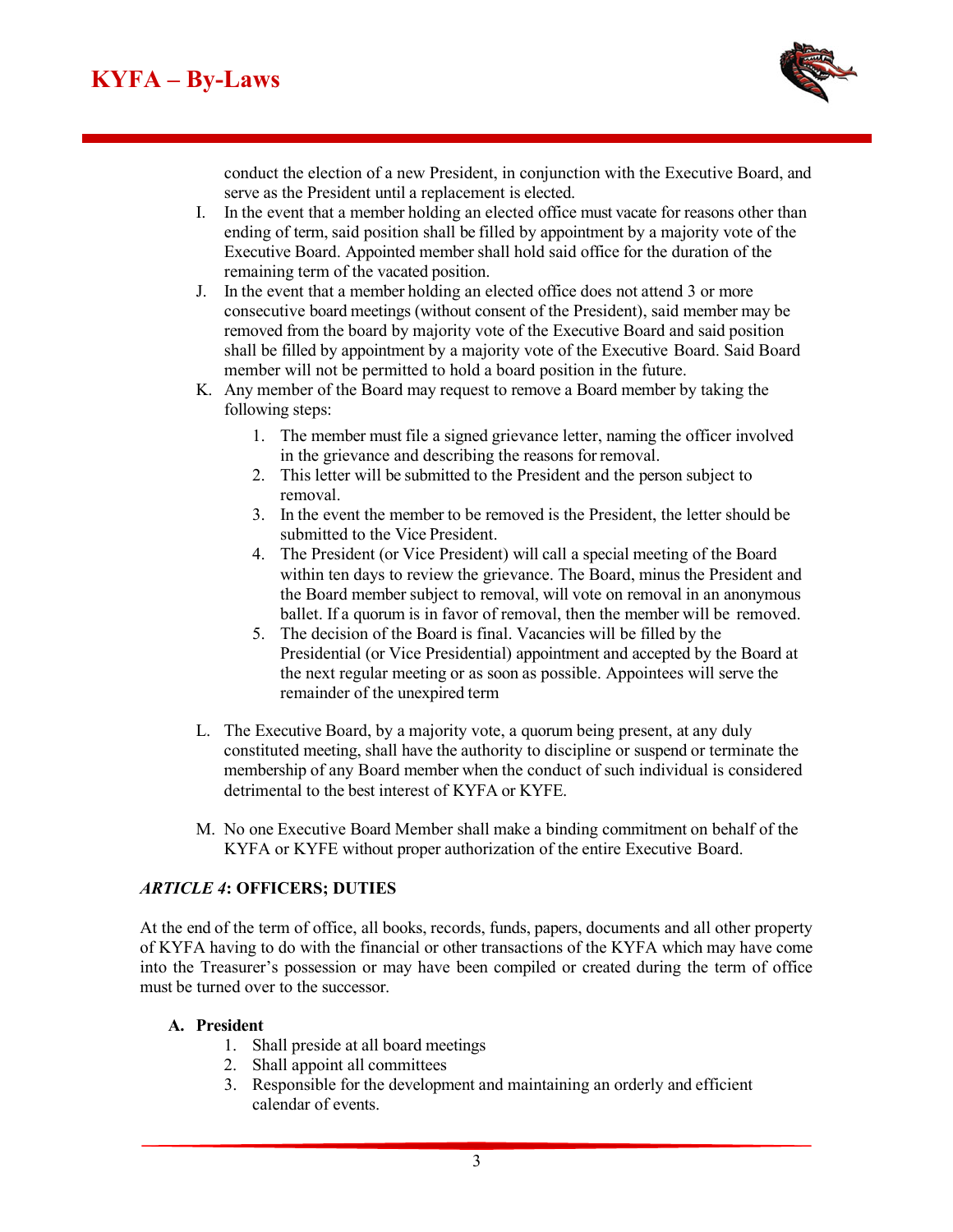

conduct the election of a new President, in conjunction with the Executive Board, and serve as the President until a replacement is elected.

- I. In the event that a member holding an elected office must vacate for reasons other than ending of term, said position shall be filled by appointment by a majority vote of the Executive Board. Appointed member shall hold said office for the duration of the remaining term of the vacated position.
- J. In the event that a member holding an elected office does not attend 3 or more consecutive board meetings (without consent of the President), said member may be removed from the board by majority vote of the Executive Board and said position shall be filled by appointment by a majority vote of the Executive Board. Said Board member will not be permitted to hold a board position in the future.
- K. Any member of the Board may request to remove a Board member by taking the following steps:
	- 1. The member must file a signed grievance letter, naming the officer involved in the grievance and describing the reasons for removal.
	- 2. This letter will be submitted to the President and the person subject to removal.
	- 3. In the event the member to be removed is the President, the letter should be submitted to the Vice President.
	- 4. The President (or Vice President) will call a special meeting of the Board within ten days to review the grievance. The Board, minus the President and the Board member subject to removal, will vote on removal in an anonymous ballet. If a quorum is in favor of removal, then the member will be removed.
	- 5. The decision of the Board is final. Vacancies will be filled by the Presidential (or Vice Presidential) appointment and accepted by the Board at the next regular meeting or as soon as possible. Appointees will serve the remainder of the unexpired term
- L. The Executive Board, by a majority vote, a quorum being present, at any duly constituted meeting, shall have the authority to discipline or suspend or terminate the membership of any Board member when the conduct of such individual is considered detrimental to the best interest of KYFA or KYFE.
- M. No one Executive Board Member shall make a binding commitment on behalf of the KYFA or KYFE without proper authorization of the entire Executive Board.

#### *ARTICLE 4***: OFFICERS; DUTIES**

At the end of the term of office, all books, records, funds, papers, documents and all other property of KYFA having to do with the financial or other transactions of the KYFA which may have come into the Treasurer's possession or may have been compiled or created during the term of office must be turned over to the successor.

#### **A. President**

- 1. Shall preside at all board meetings
- 2. Shall appoint all committees
- 3. Responsible for the development and maintaining an orderly and efficient calendar of events.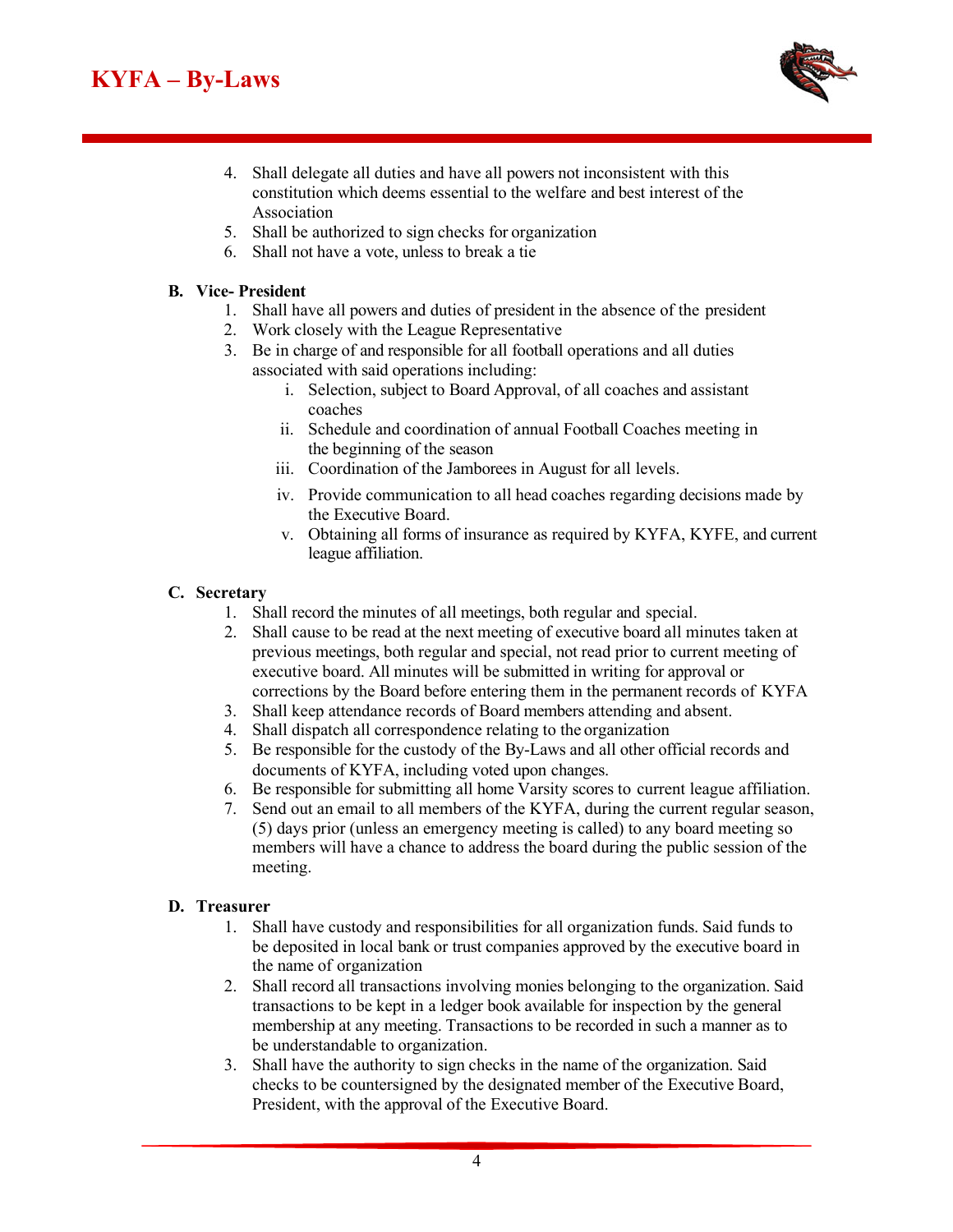# **KYFA – By-Laws**



- 4. Shall delegate all duties and have all powers not inconsistent with this constitution which deems essential to the welfare and best interest of the Association
- 5. Shall be authorized to sign checks for organization
- 6. Shall not have a vote, unless to break a tie

#### **B. Vice- President**

- 1. Shall have all powers and duties of president in the absence of the president
- 2. Work closely with the League Representative
- 3. Be in charge of and responsible for all football operations and all duties associated with said operations including:
	- i. Selection, subject to Board Approval, of all coaches and assistant coaches
	- ii. Schedule and coordination of annual Football Coaches meeting in the beginning of the season
	- iii. Coordination of the Jamborees in August for all levels.
	- iv. Provide communication to all head coaches regarding decisions made by the Executive Board.
	- v. Obtaining all forms of insurance as required by KYFA, KYFE, and current league affiliation.

## **C. Secretary**

- 1. Shall record the minutes of all meetings, both regular and special.
- 2. Shall cause to be read at the next meeting of executive board all minutes taken at previous meetings, both regular and special, not read prior to current meeting of executive board. All minutes will be submitted in writing for approval or corrections by the Board before entering them in the permanent records of KYFA
- 3. Shall keep attendance records of Board members attending and absent.
- 4. Shall dispatch all correspondence relating to the organization
- 5. Be responsible for the custody of the By-Laws and all other official records and documents of KYFA, including voted upon changes.
- 6. Be responsible for submitting all home Varsity scores to current league affiliation.
- 7. Send out an email to all members of the KYFA, during the current regular season, (5) days prior (unless an emergency meeting is called) to any board meeting so members will have a chance to address the board during the public session of the meeting.

## **D. Treasurer**

- 1. Shall have custody and responsibilities for all organization funds. Said funds to be deposited in local bank or trust companies approved by the executive board in the name of organization
- 2. Shall record all transactions involving monies belonging to the organization. Said transactions to be kept in a ledger book available for inspection by the general membership at any meeting. Transactions to be recorded in such a manner as to be understandable to organization.
- 3. Shall have the authority to sign checks in the name of the organization. Said checks to be countersigned by the designated member of the Executive Board, President, with the approval of the Executive Board.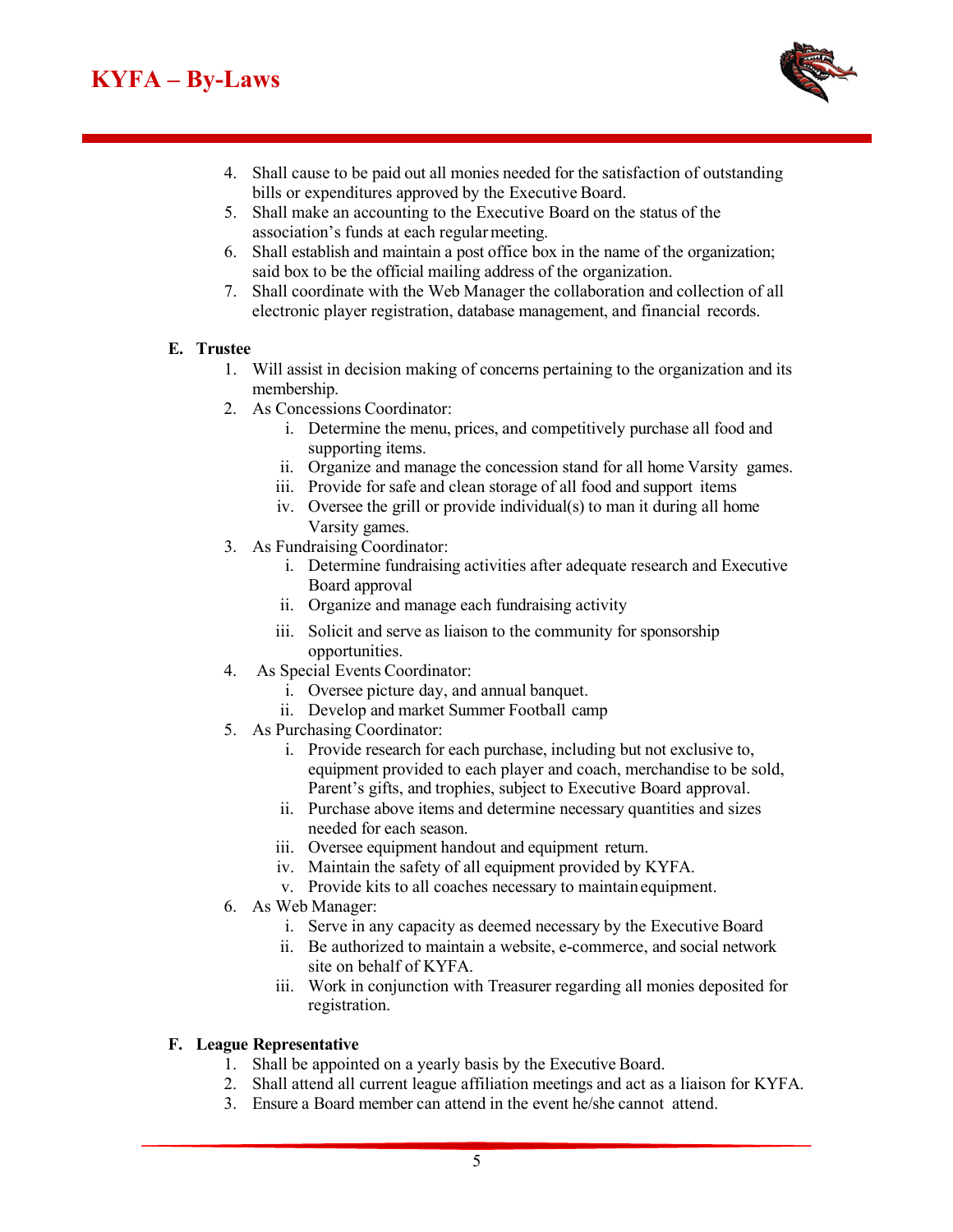# **KYFA – By-Laws**



- 4. Shall cause to be paid out all monies needed for the satisfaction of outstanding bills or expenditures approved by the Executive Board.
- 5. Shall make an accounting to the Executive Board on the status of the association's funds at each regular meeting.
- 6. Shall establish and maintain a post office box in the name of the organization; said box to be the official mailing address of the organization.
- 7. Shall coordinate with the Web Manager the collaboration and collection of all electronic player registration, database management, and financial records.

#### **E. Trustee**

- 1. Will assist in decision making of concerns pertaining to the organization and its membership.
- 2. As Concessions Coordinator:
	- i. Determine the menu, prices, and competitively purchase all food and supporting items.
	- ii. Organize and manage the concession stand for all home Varsity games.
	- iii. Provide for safe and clean storage of all food and support items
	- iv. Oversee the grill or provide individual(s) to man it during all home Varsity games.
- 3. As Fundraising Coordinator:
	- i. Determine fundraising activities after adequate research and Executive Board approval
	- ii. Organize and manage each fundraising activity
	- iii. Solicit and serve as liaison to the community for sponsorship opportunities.
- 4. As Special Events Coordinator:
	- i. Oversee picture day, and annual banquet.
	- ii. Develop and market Summer Football camp
- 5. As Purchasing Coordinator:
	- i. Provide research for each purchase, including but not exclusive to, equipment provided to each player and coach, merchandise to be sold, Parent's gifts, and trophies, subject to Executive Board approval.
	- ii. Purchase above items and determine necessary quantities and sizes needed for each season.
	- iii. Oversee equipment handout and equipment return.
	- iv. Maintain the safety of all equipment provided by KYFA.
	- v. Provide kits to all coaches necessary to maintain equipment.
- 6. As Web Manager:
	- i. Serve in any capacity as deemed necessary by the Executive Board
	- ii. Be authorized to maintain a website, e-commerce, and social network site on behalf of KYFA.
	- iii. Work in conjunction with Treasurer regarding all monies deposited for registration.

#### **F. League Representative**

- 1. Shall be appointed on a yearly basis by the Executive Board.
- 2. Shall attend all current league affiliation meetings and act as a liaison for KYFA.
- 3. Ensure a Board member can attend in the event he/she cannot attend.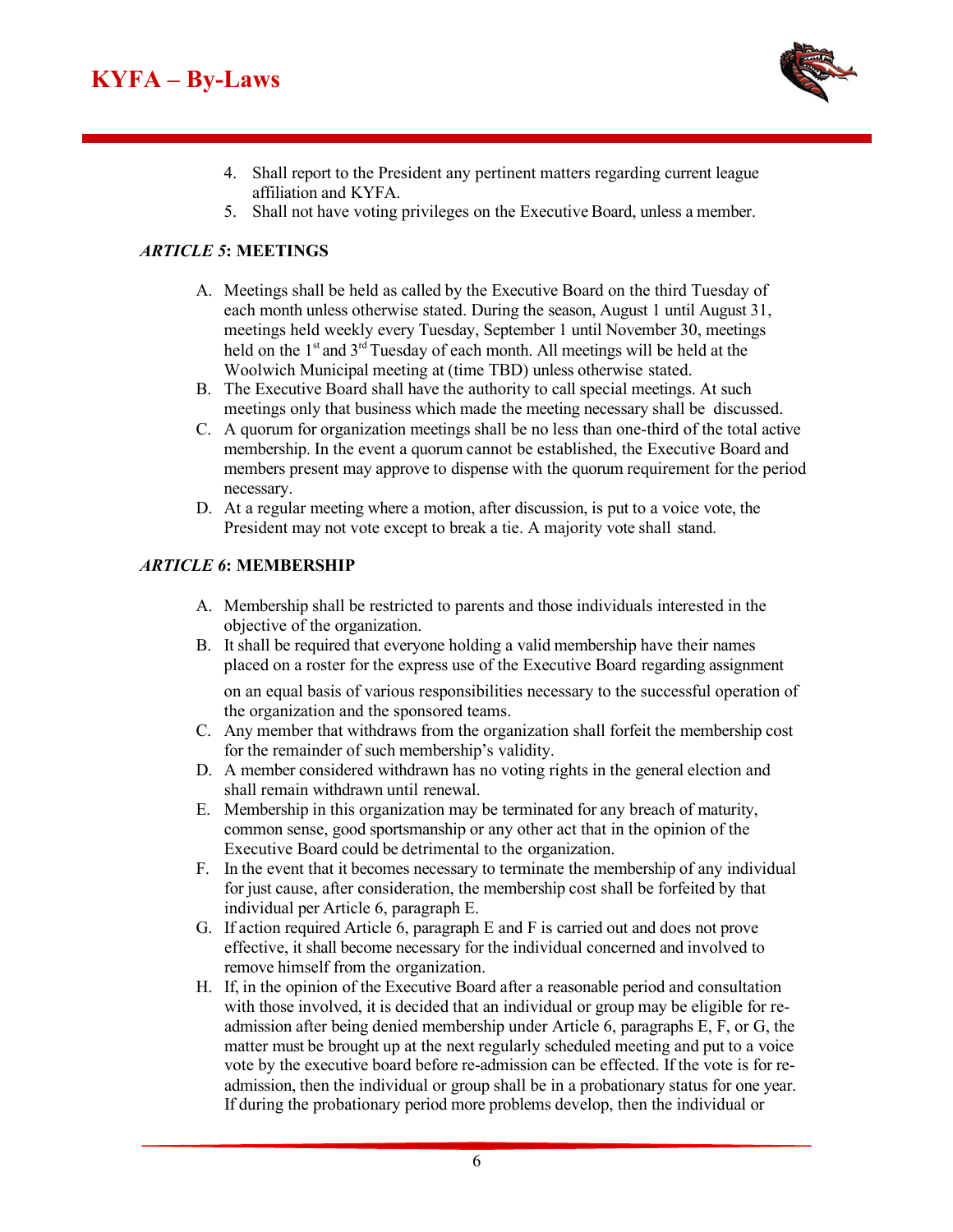

- 4. Shall report to the President any pertinent matters regarding current league affiliation and KYFA.
- 5. Shall not have voting privileges on the Executive Board, unless a member.

## *ARTICLE 5***: MEETINGS**

- A. Meetings shall be held as called by the Executive Board on the third Tuesday of each month unless otherwise stated. During the season, August 1 until August 31, meetings held weekly every Tuesday, September 1 until November 30, meetings held on the 1<sup>st</sup> and 3<sup>rd</sup> Tuesday of each month. All meetings will be held at the Woolwich Municipal meeting at (time TBD) unless otherwise stated.
- B. The Executive Board shall have the authority to call special meetings. At such meetings only that business which made the meeting necessary shall be discussed.
- C. A quorum for organization meetings shall be no less than one-third of the total active membership. In the event a quorum cannot be established, the Executive Board and members present may approve to dispense with the quorum requirement for the period necessary.
- D. At a regular meeting where a motion, after discussion, is put to a voice vote, the President may not vote except to break a tie. A majority vote shall stand.

#### *ARTICLE 6***: MEMBERSHIP**

- A. Membership shall be restricted to parents and those individuals interested in the objective of the organization.
- B. It shall be required that everyone holding a valid membership have their names placed on a roster for the express use of the Executive Board regarding assignment

on an equal basis of various responsibilities necessary to the successful operation of the organization and the sponsored teams.

- C. Any member that withdraws from the organization shall forfeit the membership cost for the remainder of such membership's validity.
- D. A member considered withdrawn has no voting rights in the general election and shall remain withdrawn until renewal.
- E. Membership in this organization may be terminated for any breach of maturity, common sense, good sportsmanship or any other act that in the opinion of the Executive Board could be detrimental to the organization.
- F. In the event that it becomes necessary to terminate the membership of any individual for just cause, after consideration, the membership cost shall be forfeited by that individual per Article 6, paragraph E.
- G. If action required Article 6, paragraph E and F is carried out and does not prove effective, it shall become necessary for the individual concerned and involved to remove himself from the organization.
- H. If, in the opinion of the Executive Board after a reasonable period and consultation with those involved, it is decided that an individual or group may be eligible for readmission after being denied membership under Article 6, paragraphs E, F, or G, the matter must be brought up at the next regularly scheduled meeting and put to a voice vote by the executive board before re-admission can be effected. If the vote is for readmission, then the individual or group shall be in a probationary status for one year. If during the probationary period more problems develop, then the individual or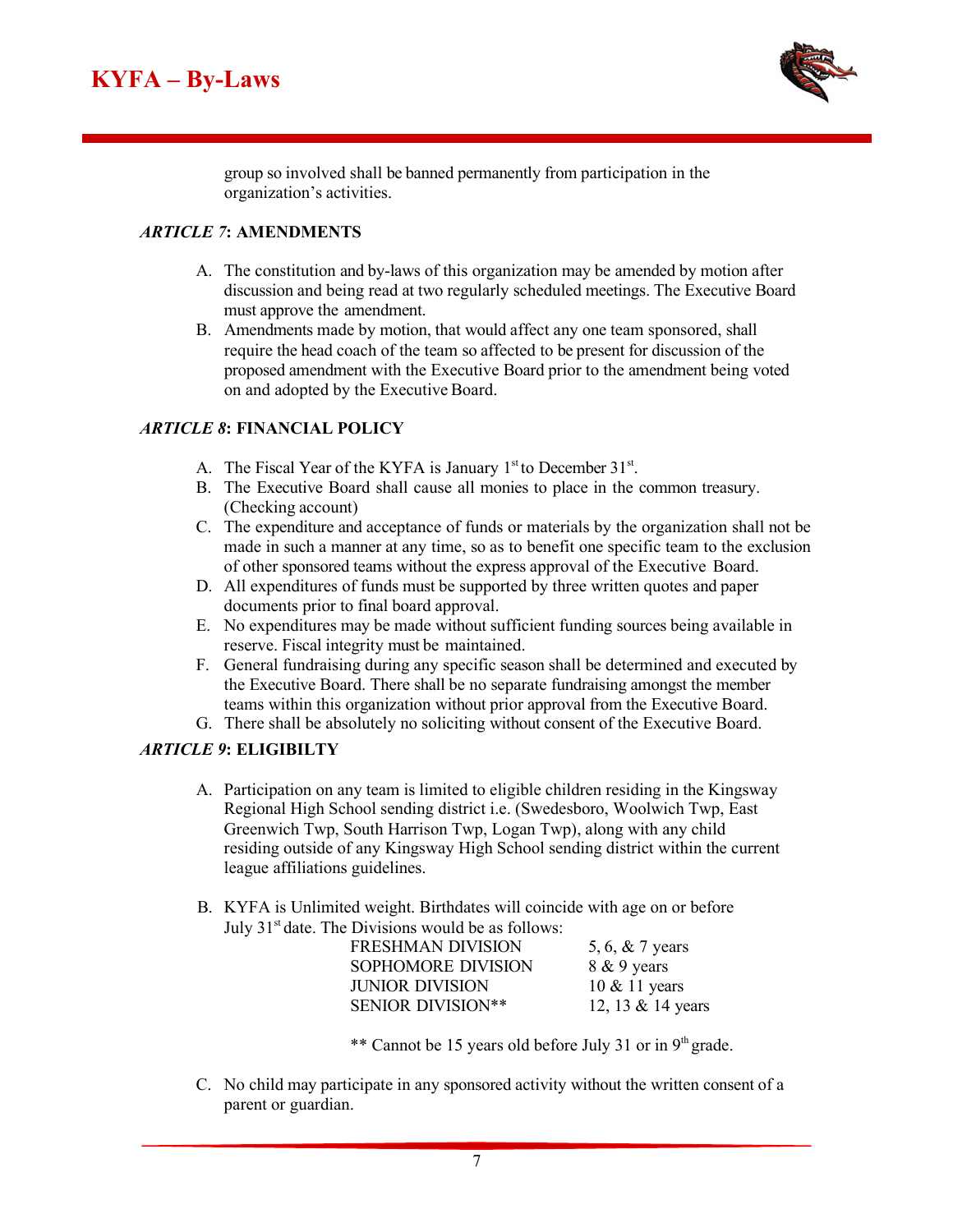

group so involved shall be banned permanently from participation in the organization's activities.

## *ARTICLE 7***: AMENDMENTS**

- A. The constitution and by-laws of this organization may be amended by motion after discussion and being read at two regularly scheduled meetings. The Executive Board must approve the amendment.
- B. Amendments made by motion, that would affect any one team sponsored, shall require the head coach of the team so affected to be present for discussion of the proposed amendment with the Executive Board prior to the amendment being voted on and adopted by the Executive Board.

## *ARTICLE 8***: FINANCIAL POLICY**

- A. The Fiscal Year of the KYFA is January 1<sup>st</sup> to December 31<sup>st</sup>.
- B. The Executive Board shall cause all monies to place in the common treasury. (Checking account)
- C. The expenditure and acceptance of funds or materials by the organization shall not be made in such a manner at any time, so as to benefit one specific team to the exclusion of other sponsored teams without the express approval of the Executive Board.
- D. All expenditures of funds must be supported by three written quotes and paper documents prior to final board approval.
- E. No expenditures may be made without sufficient funding sources being available in reserve. Fiscal integrity must be maintained.
- F. General fundraising during any specific season shall be determined and executed by the Executive Board. There shall be no separate fundraising amongst the member teams within this organization without prior approval from the Executive Board.
- G. There shall be absolutely no soliciting without consent of the Executive Board.

#### *ARTICLE 9***: ELIGIBILTY**

- A. Participation on any team is limited to eligible children residing in the Kingsway Regional High School sending district i.e. (Swedesboro, Woolwich Twp, East Greenwich Twp, South Harrison Twp, Logan Twp), along with any child residing outside of any Kingsway High School sending district within the current league affiliations guidelines.
- B. KYFA is Unlimited weight. Birthdates will coincide with age on or before July  $31<sup>st</sup>$  date. The Divisions would be as follows:

| FRESHMAN DIVISION        | 5, 6, $& 7$ years        |
|--------------------------|--------------------------|
| SOPHOMORE DIVISION       | 8 & 9 years              |
| JUNIOR DIVISION          | $10 \& 11 \text{ years}$ |
| <b>SENIOR DIVISION**</b> | 12, 13 & 14 years        |
|                          |                          |

\*\* Cannot be 15 years old before July 31 or in  $9<sup>th</sup>$  grade.

C. No child may participate in any sponsored activity without the written consent of a parent or guardian.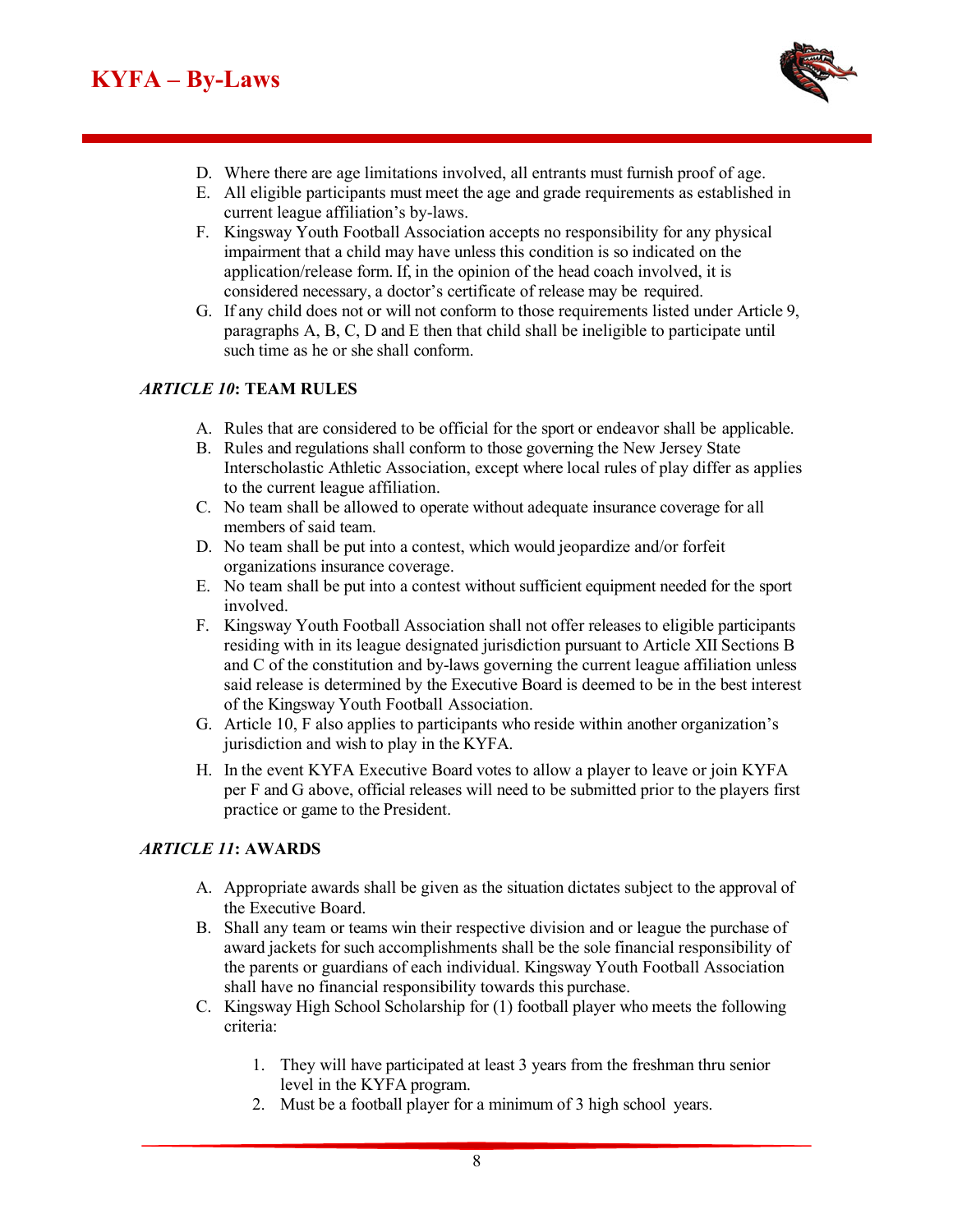

- D. Where there are age limitations involved, all entrants must furnish proof of age.
- E. All eligible participants must meet the age and grade requirements as established in current league affiliation's by-laws.
- F. Kingsway Youth Football Association accepts no responsibility for any physical impairment that a child may have unless this condition is so indicated on the application/release form. If, in the opinion of the head coach involved, it is considered necessary, a doctor's certificate of release may be required.
- G. If any child does not or will not conform to those requirements listed under Article 9, paragraphs A, B, C, D and E then that child shall be ineligible to participate until such time as he or she shall conform.

## *ARTICLE 10***: TEAM RULES**

- A. Rules that are considered to be official for the sport or endeavor shall be applicable.
- B. Rules and regulations shall conform to those governing the New Jersey State Interscholastic Athletic Association, except where local rules of play differ as applies to the current league affiliation.
- C. No team shall be allowed to operate without adequate insurance coverage for all members of said team.
- D. No team shall be put into a contest, which would jeopardize and/or forfeit organizations insurance coverage.
- E. No team shall be put into a contest without sufficient equipment needed for the sport involved.
- F. Kingsway Youth Football Association shall not offer releases to eligible participants residing with in its league designated jurisdiction pursuant to Article XII Sections B and C of the constitution and by-laws governing the current league affiliation unless said release is determined by the Executive Board is deemed to be in the best interest of the Kingsway Youth Football Association.
- G. Article 10, F also applies to participants who reside within another organization's jurisdiction and wish to play in the KYFA.
- H. In the event KYFA Executive Board votes to allow a player to leave or join KYFA per F and G above, official releases will need to be submitted prior to the players first practice or game to the President.

#### *ARTICLE 11***: AWARDS**

- A. Appropriate awards shall be given as the situation dictates subject to the approval of the Executive Board.
- B. Shall any team or teams win their respective division and or league the purchase of award jackets for such accomplishments shall be the sole financial responsibility of the parents or guardians of each individual. Kingsway Youth Football Association shall have no financial responsibility towards this purchase.
- C. Kingsway High School Scholarship for (1) football player who meets the following criteria:
	- 1. They will have participated at least 3 years from the freshman thru senior level in the KYFA program.
	- 2. Must be a football player for a minimum of 3 high school years.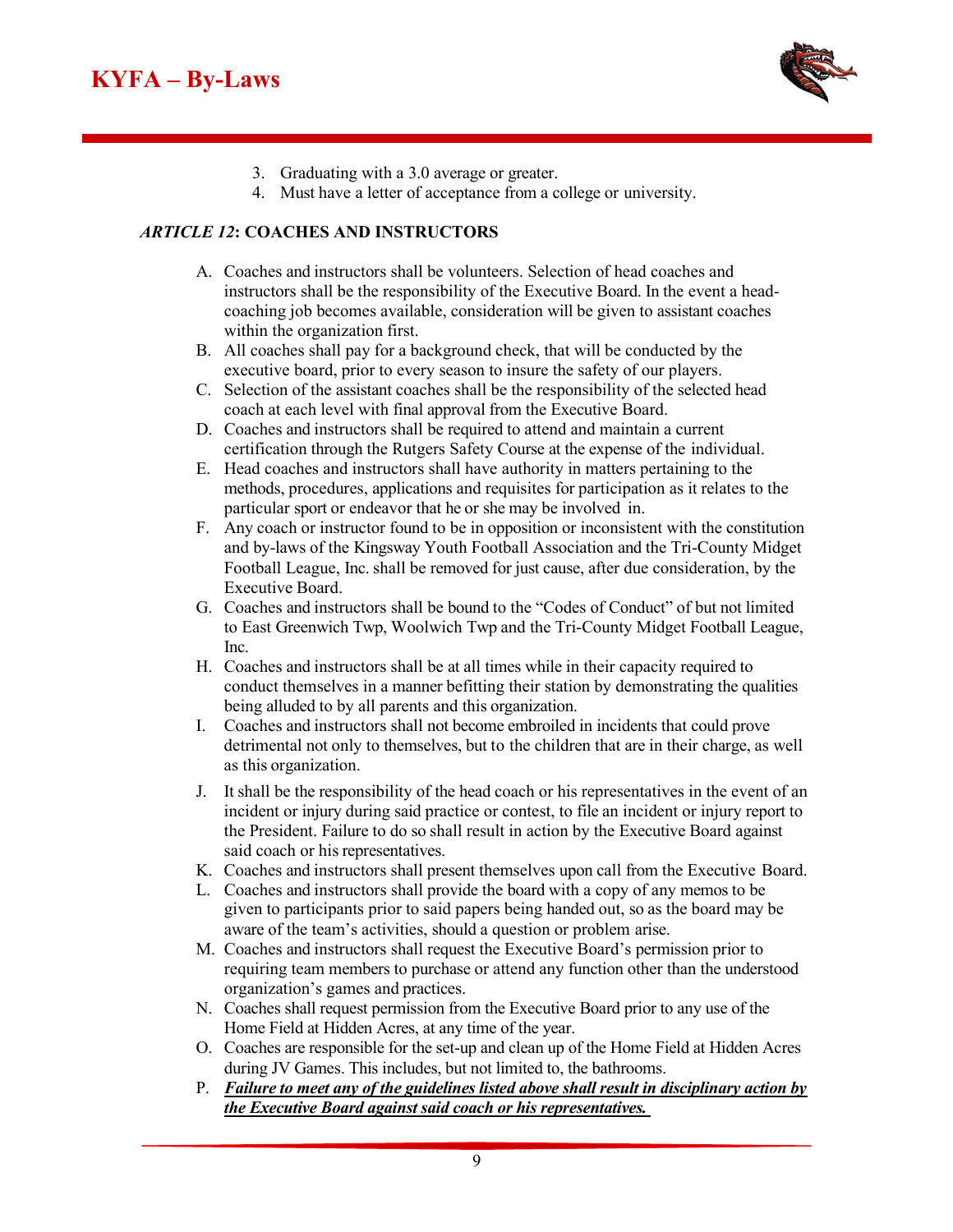

- 3. Graduating with a 3.0 average or greater.
- 4. Must have a letter of acceptance from a college or university.

#### *ARTICLE 12***: COACHES AND INSTRUCTORS**

- A. Coaches and instructors shall be volunteers. Selection of head coaches and instructors shall be the responsibility of the Executive Board. In the event a headcoaching job becomes available, consideration will be given to assistant coaches within the organization first.
- B. All coaches shall pay for a background check, that will be conducted by the executive board, prior to every season to insure the safety of our players.
- C. Selection of the assistant coaches shall be the responsibility of the selected head coach at each level with final approval from the Executive Board.
- D. Coaches and instructors shall be required to attend and maintain a current certification through the Rutgers Safety Course at the expense of the individual.
- E. Head coaches and instructors shall have authority in matters pertaining to the methods, procedures, applications and requisites for participation as it relates to the particular sport or endeavor that he or she may be involved in.
- F. Any coach or instructor found to be in opposition or inconsistent with the constitution and by-laws of the Kingsway Youth Football Association and the Tri-County Midget Football League, Inc. shall be removed for just cause, after due consideration, by the Executive Board.
- G. Coaches and instructors shall be bound to the "Codes of Conduct" of but not limited to East Greenwich Twp, Woolwich Twp and the Tri-County Midget Football League, Inc.
- H. Coaches and instructors shall be at all times while in their capacity required to conduct themselves in a manner befitting their station by demonstrating the qualities being alluded to by all parents and this organization.
- I. Coaches and instructors shall not become embroiled in incidents that could prove detrimental not only to themselves, but to the children that are in their charge, as well as this organization.
- J. It shall be the responsibility of the head coach or his representatives in the event of an incident or injury during said practice or contest, to file an incident or injury report to the President. Failure to do so shall result in action by the Executive Board against said coach or his representatives.
- K. Coaches and instructors shall present themselves upon call from the Executive Board.
- L. Coaches and instructors shall provide the board with a copy of any memos to be given to participants prior to said papers being handed out, so as the board may be aware of the team's activities, should a question or problem arise.
- M. Coaches and instructors shall request the Executive Board's permission prior to requiring team members to purchase or attend any function other than the understood organization's games and practices.
- N. Coaches shall request permission from the Executive Board prior to any use of the Home Field at Hidden Acres, at any time of the year.
- O. Coaches are responsible for the set-up and clean up of the Home Field at Hidden Acres during JV Games. This includes, but not limited to, the bathrooms.
- P. *Failure to meet any of the guidelines listed above shall result in disciplinary action by the Executive Board against said coach or his representatives.*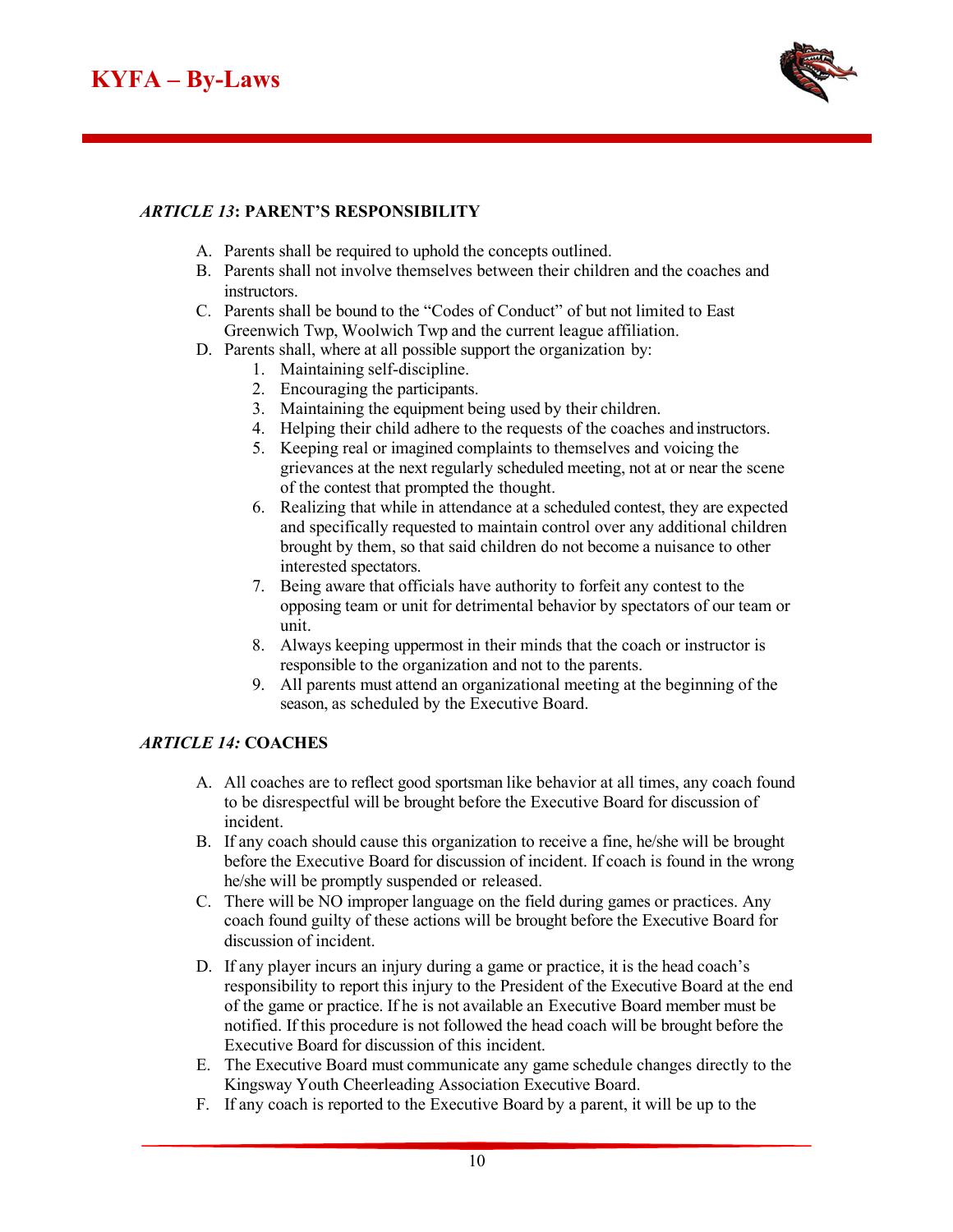

## *ARTICLE 13***: PARENT'S RESPONSIBILITY**

- A. Parents shall be required to uphold the concepts outlined.
- B. Parents shall not involve themselves between their children and the coaches and instructors.
- C. Parents shall be bound to the "Codes of Conduct" of but not limited to East Greenwich Twp, Woolwich Twp and the current league affiliation.
- D. Parents shall, where at all possible support the organization by:
	- 1. Maintaining self-discipline.
	- 2. Encouraging the participants.
	- 3. Maintaining the equipment being used by their children.
	- 4. Helping their child adhere to the requests of the coaches and instructors.
	- 5. Keeping real or imagined complaints to themselves and voicing the grievances at the next regularly scheduled meeting, not at or near the scene of the contest that prompted the thought.
	- 6. Realizing that while in attendance at a scheduled contest, they are expected and specifically requested to maintain control over any additional children brought by them, so that said children do not become a nuisance to other interested spectators.
	- 7. Being aware that officials have authority to forfeit any contest to the opposing team or unit for detrimental behavior by spectators of our team or unit.
	- 8. Always keeping uppermost in their minds that the coach or instructor is responsible to the organization and not to the parents.
	- 9. All parents must attend an organizational meeting at the beginning of the season, as scheduled by the Executive Board.

#### *ARTICLE 14:* **COACHES**

- A. All coaches are to reflect good sportsman like behavior at all times, any coach found to be disrespectful will be brought before the Executive Board for discussion of incident.
- B. If any coach should cause this organization to receive a fine, he/she will be brought before the Executive Board for discussion of incident. If coach is found in the wrong he/she will be promptly suspended or released.
- C. There will be NO improper language on the field during games or practices. Any coach found guilty of these actions will be brought before the Executive Board for discussion of incident.
- D. If any player incurs an injury during a game or practice, it is the head coach's responsibility to report this injury to the President of the Executive Board at the end of the game or practice. If he is not available an Executive Board member must be notified. If this procedure is not followed the head coach will be brought before the Executive Board for discussion of this incident.
- E. The Executive Board must communicate any game schedule changes directly to the Kingsway Youth Cheerleading Association Executive Board.
- F. If any coach is reported to the Executive Board by a parent, it will be up to the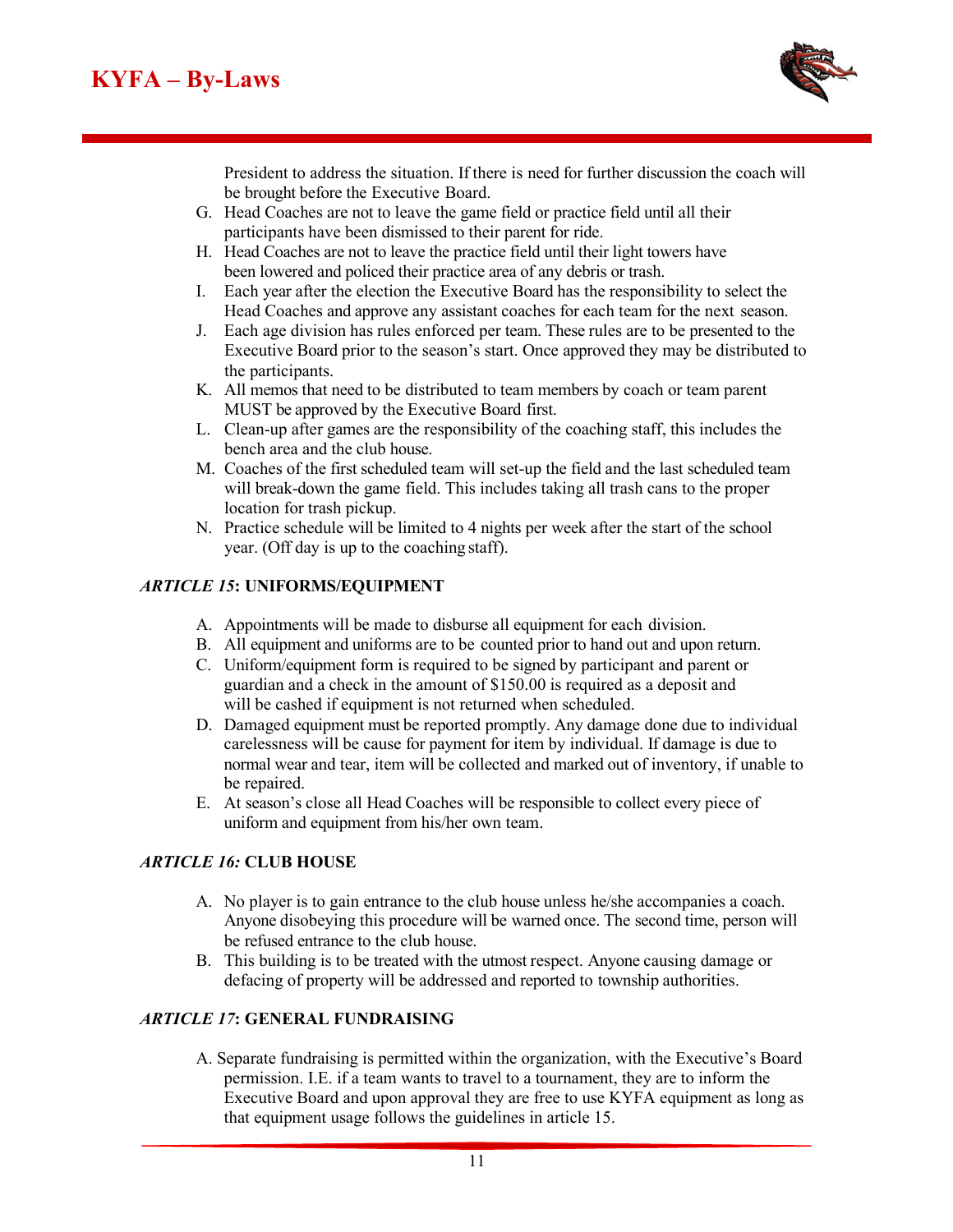

President to address the situation. If there is need for further discussion the coach will be brought before the Executive Board.

- G. Head Coaches are not to leave the game field or practice field until all their participants have been dismissed to their parent for ride.
- H. Head Coaches are not to leave the practice field until their light towers have been lowered and policed their practice area of any debris or trash.
- I. Each year after the election the Executive Board has the responsibility to select the Head Coaches and approve any assistant coaches for each team for the next season.
- J. Each age division has rules enforced per team. These rules are to be presented to the Executive Board prior to the season's start. Once approved they may be distributed to the participants.
- K. All memos that need to be distributed to team members by coach or team parent MUST be approved by the Executive Board first.
- L. Clean-up after games are the responsibility of the coaching staff, this includes the bench area and the club house.
- M. Coaches of the first scheduled team will set-up the field and the last scheduled team will break-down the game field. This includes taking all trash cans to the proper location for trash pickup.
- N. Practice schedule will be limited to 4 nights per week after the start of the school year. (Off day is up to the coaching staff).

## *ARTICLE 15***: UNIFORMS/EQUIPMENT**

- A. Appointments will be made to disburse all equipment for each division.
- B. All equipment and uniforms are to be counted prior to hand out and upon return.
- C. Uniform/equipment form is required to be signed by participant and parent or guardian and a check in the amount of \$150.00 is required as a deposit and will be cashed if equipment is not returned when scheduled.
- D. Damaged equipment must be reported promptly. Any damage done due to individual carelessness will be cause for payment for item by individual. If damage is due to normal wear and tear, item will be collected and marked out of inventory, if unable to be repaired.
- E. At season's close all Head Coaches will be responsible to collect every piece of uniform and equipment from his/her own team.

#### *ARTICLE 16:* **CLUB HOUSE**

- A. No player is to gain entrance to the club house unless he/she accompanies a coach. Anyone disobeying this procedure will be warned once. The second time, person will be refused entrance to the club house.
- B. This building is to be treated with the utmost respect. Anyone causing damage or defacing of property will be addressed and reported to township authorities.

#### *ARTICLE 17***: GENERAL FUNDRAISING**

A. Separate fundraising is permitted within the organization, with the Executive's Board permission. I.E. if a team wants to travel to a tournament, they are to inform the Executive Board and upon approval they are free to use KYFA equipment as long as that equipment usage follows the guidelines in article 15.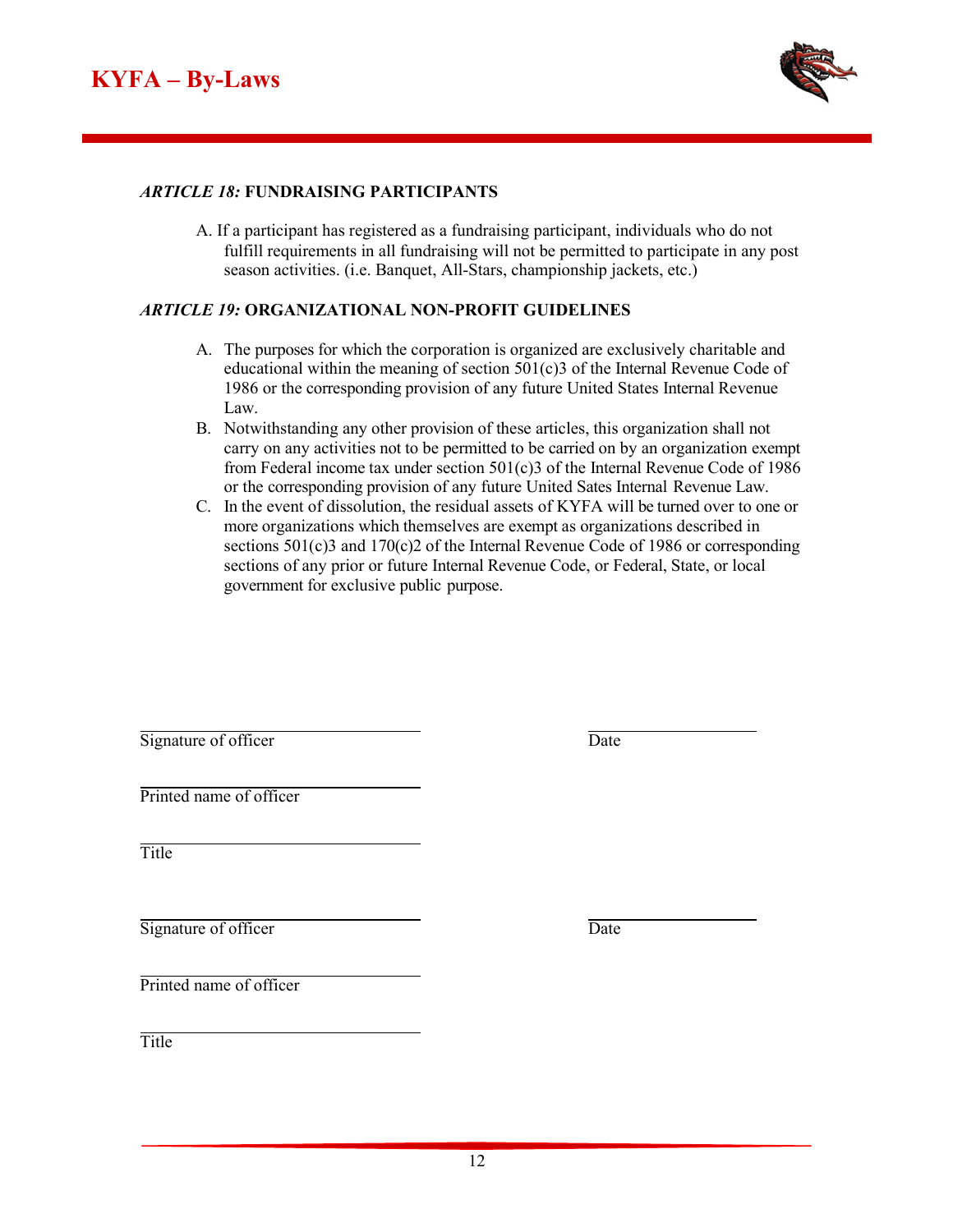

#### *ARTICLE 18:* **FUNDRAISING PARTICIPANTS**

A. If a participant has registered as a fundraising participant, individuals who do not fulfill requirements in all fundraising will not be permitted to participate in any post season activities. (i.e. Banquet, All-Stars, championship jackets, etc.)

#### *ARTICLE 19:* **ORGANIZATIONAL NON-PROFIT GUIDELINES**

- A. The purposes for which the corporation is organized are exclusively charitable and educational within the meaning of section 501(c)3 of the Internal Revenue Code of 1986 or the corresponding provision of any future United States Internal Revenue Law.
- B. Notwithstanding any other provision of these articles, this organization shall not carry on any activities not to be permitted to be carried on by an organization exempt from Federal income tax under section 501(c)3 of the Internal Revenue Code of 1986 or the corresponding provision of any future United Sates Internal Revenue Law.
- C. In the event of dissolution, the residual assets of KYFA will be turned over to one or more organizations which themselves are exempt as organizations described in sections 501(c)3 and 170(c)2 of the Internal Revenue Code of 1986 or corresponding sections of any prior or future Internal Revenue Code, or Federal, State, or local government for exclusive public purpose.

| Date |
|------|
|      |
|      |
| Date |
|      |
|      |
|      |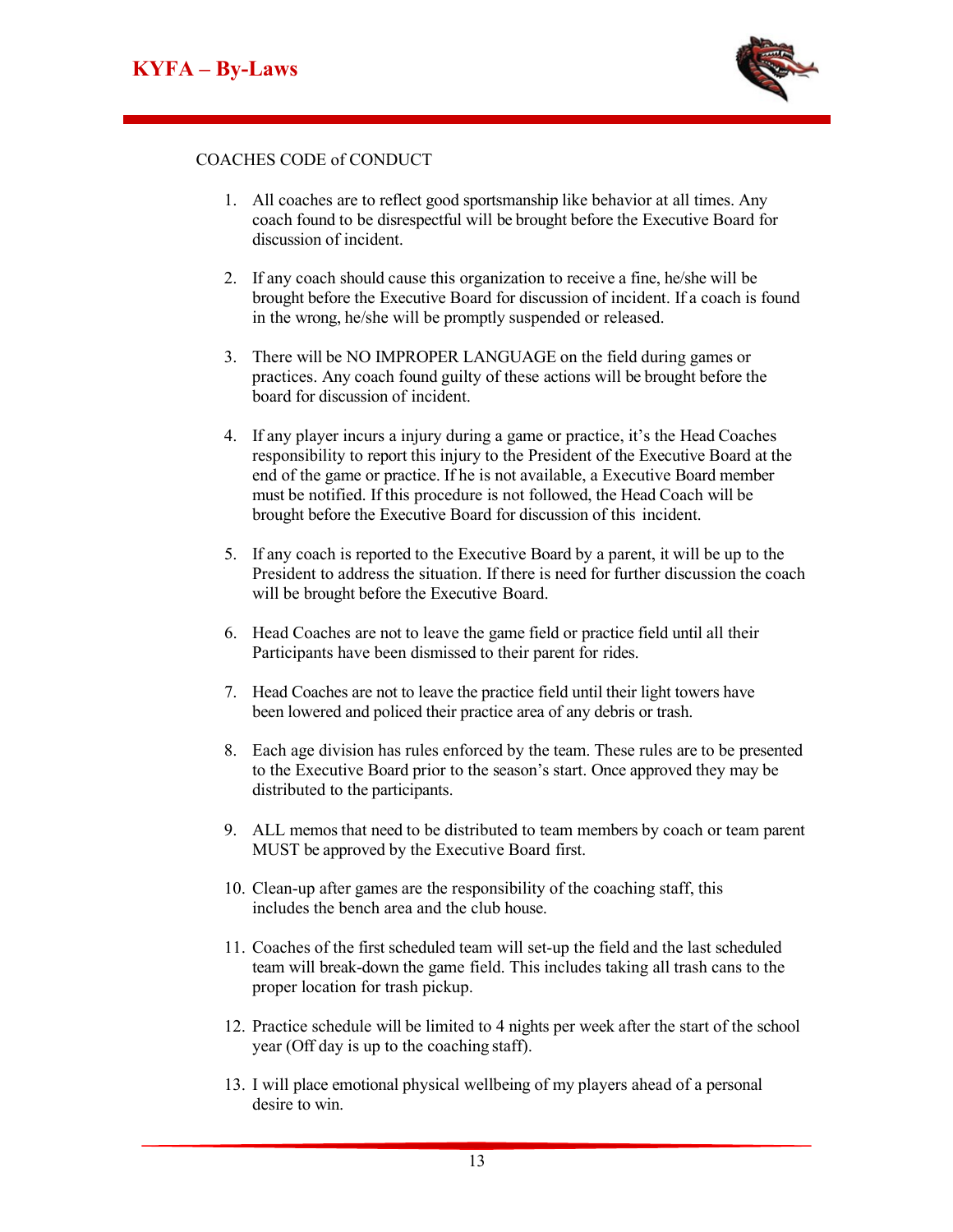**KYFA B L**



#### COACHES CODE of CONDUCT

- 1. All coaches are to reflect good sportsmanship like behavior at all times. Any coach found to be disrespectful will be brought before the Executive Board for discussion of incident.
- 2. If any coach should cause this organization to receive a fine, he/she will be brought before the Executive Board for discussion of incident. If a coach is found in the wrong, he/she will be promptly suspended or released.
- 3. There will be NO IMPROPER LANGUAGE on the field during games or practices. Any coach found guilty of these actions will be brought before the board for discussion of incident.
- 4. If any player incurs a injury during a game or practice, it's the Head Coaches responsibility to report this injury to the President of the Executive Board at the end of the game or practice. If he is not available, a Executive Board member must be notified. If this procedure is not followed, the Head Coach will be brought before the Executive Board for discussion of this incident.
- 5. If any coach is reported to the Executive Board by a parent, it will be up to the President to address the situation. If there is need for further discussion the coach will be brought before the Executive Board.
- 6. Head Coaches are not to leave the game field or practice field until all their Participants have been dismissed to their parent for rides.
- 7. Head Coaches are not to leave the practice field until their light towers have been lowered and policed their practice area of any debris or trash.
- 8. Each age division has rules enforced by the team. These rules are to be presented to the Executive Board prior to the season's start. Once approved they may be distributed to the participants.
- 9. ALL memos that need to be distributed to team members by coach or team parent MUST be approved by the Executive Board first.
- 10. Clean-up after games are the responsibility of the coaching staff, this includes the bench area and the club house.
- 11. Coaches of the first scheduled team will set-up the field and the last scheduled team will break-down the game field. This includes taking all trash cans to the proper location for trash pickup.
- 12. Practice schedule will be limited to 4 nights per week after the start of the school year (Off day is up to the coaching staff).
- 13. I will place emotional physical wellbeing of my players ahead of a personal desire to win.